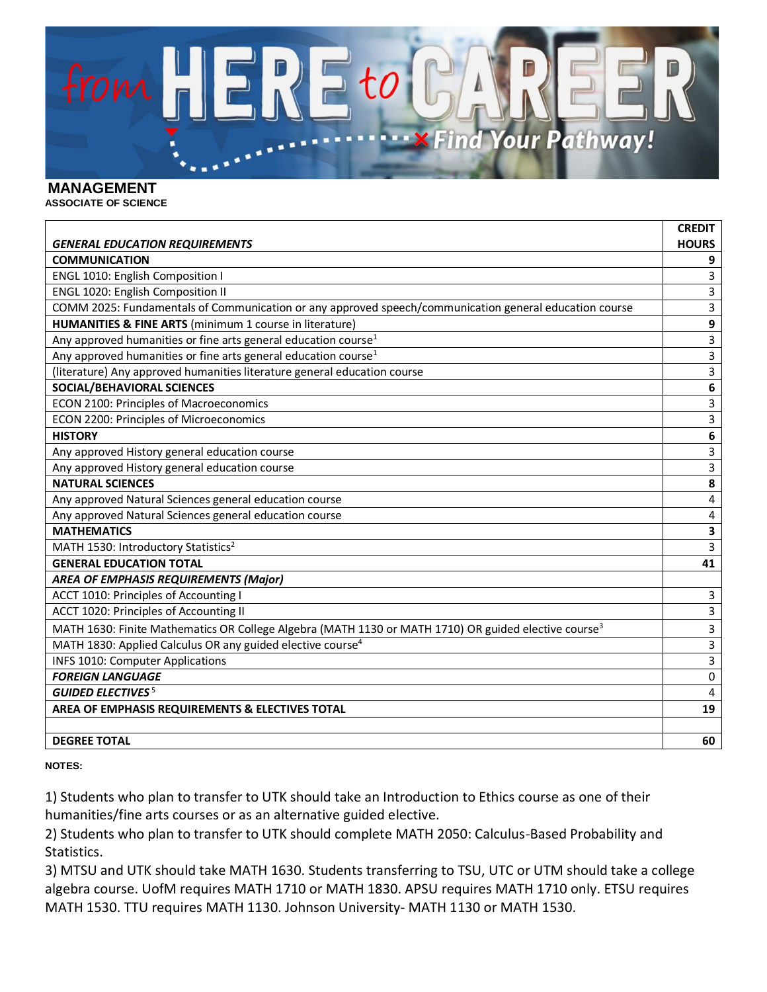

## **MANAGEMENT**

**ASSOCIATE OF SCIENCE**

|                                                                                                                  | <b>CREDIT</b> |
|------------------------------------------------------------------------------------------------------------------|---------------|
| <b>GENERAL EDUCATION REQUIREMENTS</b>                                                                            | <b>HOURS</b>  |
| <b>COMMUNICATION</b>                                                                                             | 9             |
| ENGL 1010: English Composition I                                                                                 | 3             |
| ENGL 1020: English Composition II                                                                                | 3             |
| COMM 2025: Fundamentals of Communication or any approved speech/communication general education course           | 3             |
| HUMANITIES & FINE ARTS (minimum 1 course in literature)                                                          | 9             |
| Any approved humanities or fine arts general education course <sup>1</sup>                                       | 3             |
| Any approved humanities or fine arts general education course <sup>1</sup>                                       | 3             |
| (literature) Any approved humanities literature general education course                                         | 3             |
| <b>SOCIAL/BEHAVIORAL SCIENCES</b>                                                                                | 6             |
| ECON 2100: Principles of Macroeconomics                                                                          | 3             |
| ECON 2200: Principles of Microeconomics                                                                          | 3             |
| <b>HISTORY</b>                                                                                                   | 6             |
| Any approved History general education course                                                                    | 3             |
| Any approved History general education course                                                                    | 3             |
| <b>NATURAL SCIENCES</b>                                                                                          | 8             |
| Any approved Natural Sciences general education course                                                           | 4             |
| Any approved Natural Sciences general education course                                                           | 4             |
| <b>MATHEMATICS</b>                                                                                               | 3             |
| MATH 1530: Introductory Statistics <sup>2</sup>                                                                  | 3             |
| <b>GENERAL EDUCATION TOTAL</b>                                                                                   | 41            |
| <b>AREA OF EMPHASIS REQUIREMENTS (Major)</b>                                                                     |               |
| ACCT 1010: Principles of Accounting I                                                                            | 3             |
| ACCT 1020: Principles of Accounting II                                                                           | 3             |
| MATH 1630: Finite Mathematics OR College Algebra (MATH 1130 or MATH 1710) OR guided elective course <sup>3</sup> | 3             |
| MATH 1830: Applied Calculus OR any guided elective course <sup>4</sup>                                           | 3             |
| INFS 1010: Computer Applications                                                                                 | 3             |
| <b>FOREIGN LANGUAGE</b>                                                                                          | 0             |
| <b>GUIDED ELECTIVES<sup>5</sup></b>                                                                              | 4             |
| AREA OF EMPHASIS REQUIREMENTS & ELECTIVES TOTAL                                                                  | 19            |
|                                                                                                                  |               |
| <b>DEGREE TOTAL</b>                                                                                              | 60            |

**NOTES:**

1) Students who plan to transfer to UTK should take an Introduction to Ethics course as one of their humanities/fine arts courses or as an alternative guided elective.

2) Students who plan to transfer to UTK should complete MATH 2050: Calculus-Based Probability and Statistics.

3) MTSU and UTK should take MATH 1630. Students transferring to TSU, UTC or UTM should take a college algebra course. UofM requires MATH 1710 or MATH 1830. APSU requires MATH 1710 only. ETSU requires MATH 1530. TTU requires MATH 1130. Johnson University- MATH 1130 or MATH 1530.